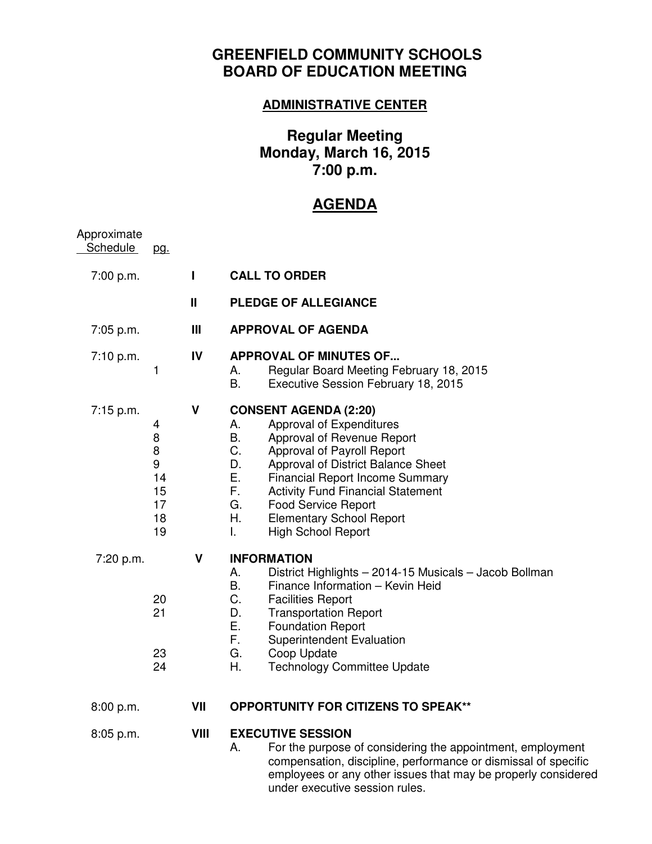## **GREENFIELD COMMUNITY SCHOOLS BOARD OF EDUCATION MEETING**

## **ADMINISTRATIVE CENTER**

## **Regular Meeting Monday, March 16, 2015 7:00 p.m.**

## **AGENDA**

| Approximate<br><b>Schedule</b> | <u>pg.</u>                                           |              |                                                                                                                                                                                                                                                                                                                                                                                                      |
|--------------------------------|------------------------------------------------------|--------------|------------------------------------------------------------------------------------------------------------------------------------------------------------------------------------------------------------------------------------------------------------------------------------------------------------------------------------------------------------------------------------------------------|
| 7:00 p.m.                      |                                                      | $\mathbf{I}$ | <b>CALL TO ORDER</b>                                                                                                                                                                                                                                                                                                                                                                                 |
|                                |                                                      | Ш            | <b>PLEDGE OF ALLEGIANCE</b>                                                                                                                                                                                                                                                                                                                                                                          |
| 7:05 p.m.                      |                                                      | Ш            | <b>APPROVAL OF AGENDA</b>                                                                                                                                                                                                                                                                                                                                                                            |
| 7:10 p.m.                      | 1                                                    | IV           | <b>APPROVAL OF MINUTES OF</b><br>Regular Board Meeting February 18, 2015<br>А.<br>В.<br>Executive Session February 18, 2015                                                                                                                                                                                                                                                                          |
| $7:15$ p.m.                    | 4<br>8<br>$\bf 8$<br>9<br>14<br>15<br>17<br>18<br>19 | V            | <b>CONSENT AGENDA (2:20)</b><br>Approval of Expenditures<br>А.<br>В.<br>Approval of Revenue Report<br>C.<br>Approval of Payroll Report<br>D.<br>Approval of District Balance Sheet<br>Е.<br><b>Financial Report Income Summary</b><br>F.<br><b>Activity Fund Financial Statement</b><br>G.<br><b>Food Service Report</b><br>Η.<br><b>Elementary School Report</b><br><b>High School Report</b><br>L. |
| 7:20 p.m.                      | 20<br>21<br>23<br>24                                 | V            | <b>INFORMATION</b><br>District Highlights - 2014-15 Musicals - Jacob Bollman<br>А.<br>В.<br>Finance Information - Kevin Heid<br>C.<br><b>Facilities Report</b><br>D.<br><b>Transportation Report</b><br>Ε.<br><b>Foundation Report</b><br>F.<br>Superintendent Evaluation<br>G.<br>Coop Update<br>Η.<br><b>Technology Committee Update</b>                                                           |
| 8:00 p.m.                      |                                                      | VII          | <b>OPPORTUNITY FOR CITIZENS TO SPEAK**</b>                                                                                                                                                                                                                                                                                                                                                           |
| 8:05 p.m.                      |                                                      | VIII         | <b>EXECUTIVE SESSION</b><br>For the purpose of considering the appointment, employment<br>Α.<br>compensation, discipline, performance or dismissal of specific<br>employees or any other issues that may be properly considered<br>under executive session rules.                                                                                                                                    |